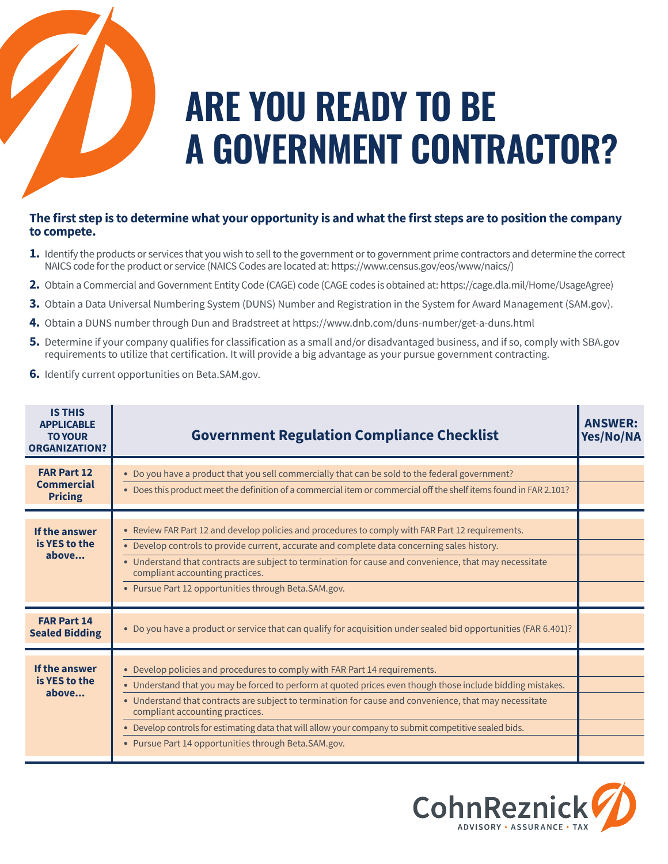

## **ARE YOU READY TO BE A GOVERNMENT CONTRACTOR?**

## **The first step is to determine what your opportunity is and what the first steps are to position the company to compete.**

- **1.** Identify the products or services that you wish to sell to the government or to government prime contractors and determine the correct NAICS code forthe product or service (NAICS Codes are located at: https://www.census.gov/eos/www/naics/)
- **2.** Obtain a Commercial and Government Entity Code (CAGE) code (CAGE codes is obtained at: https://cage.dla.mil/Home/UsageAgree)
- **3.** Obtain a Data Universal Numbering System (DUNS) Number and Registration in the System for Award Management (SAM.gov).
- **4.** Obtain a DUNS number through Dun and Bradstreet at https://www.dnb.com/duns-number/get-a-duns.html
- **5.** Determine if your company qualifies for classification as a small and/or disadvantaged business, and if so, comply with SBA.gov requirements to utilize that certification. It will provide a big advantage as your pursue government contracting.
- **6.** Identify current opportunities on Beta.SAM.gov.

| <b>IS THIS</b><br><b>APPLICABLE</b><br><b>TO YOUR</b><br><b>ORGANIZATION?</b> | <b>Government Regulation Compliance Checklist</b>                                                                                                                                                                                                                                                                                                                                                                                                                                                        | <b>ANSWER:</b><br>Yes/No/NA |
|-------------------------------------------------------------------------------|----------------------------------------------------------------------------------------------------------------------------------------------------------------------------------------------------------------------------------------------------------------------------------------------------------------------------------------------------------------------------------------------------------------------------------------------------------------------------------------------------------|-----------------------------|
| <b>FAR Part 12</b><br><b>Commercial</b><br><b>Pricing</b>                     | • Do you have a product that you sell commercially that can be sold to the federal government?<br>• Does this product meet the definition of a commercial item or commercial off the shelf items found in FAR 2.101?                                                                                                                                                                                                                                                                                     |                             |
| If the answer<br>is YES to the<br>above                                       | • Review FAR Part 12 and develop policies and procedures to comply with FAR Part 12 requirements.<br>• Develop controls to provide current, accurate and complete data concerning sales history.<br>• Understand that contracts are subject to termination for cause and convenience, that may necessitate<br>compliant accounting practices.<br>• Pursue Part 12 opportunities through Beta.SAM.gov.                                                                                                    |                             |
| <b>FAR Part 14</b><br><b>Sealed Bidding</b>                                   | • Do you have a product or service that can qualify for acquisition under sealed bid opportunities (FAR 6.401)?                                                                                                                                                                                                                                                                                                                                                                                          |                             |
| If the answer<br>is YES to the<br>above                                       | • Develop policies and procedures to comply with FAR Part 14 requirements.<br>• Understand that you may be forced to perform at quoted prices even though those include bidding mistakes.<br>• Understand that contracts are subject to termination for cause and convenience, that may necessitate<br>compliant accounting practices.<br>. Develop controls for estimating data that will allow your company to submit competitive sealed bids.<br>• Pursue Part 14 opportunities through Beta.SAM.gov. |                             |